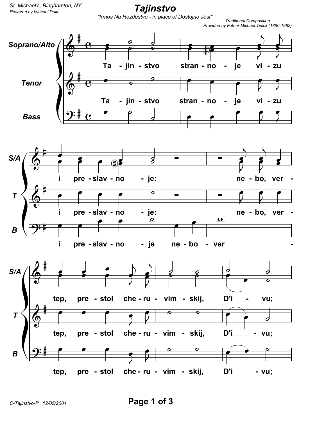*Restored by Michael Duke St. Michael's, Binghamton, NY*

*Tajinstvo*

*"Irmos Na Rozdestvo - in place of Dostojno Jest" Traditional Composition*



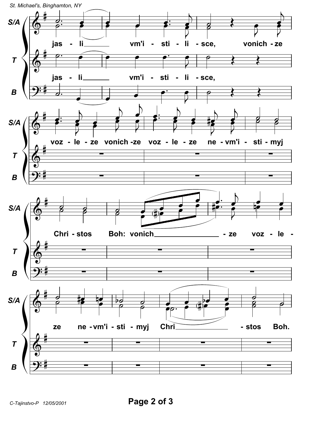